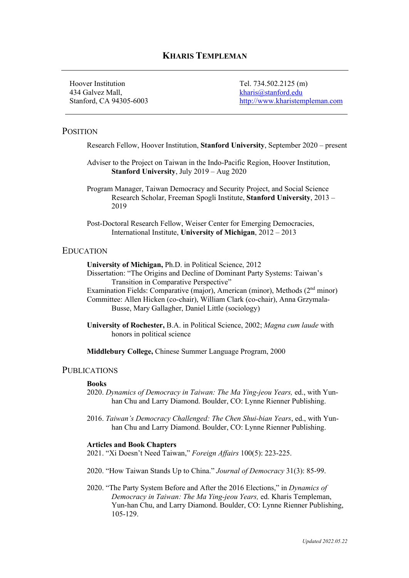# **KHARIS TEMPLEMAN**

Hoover Institution Tel. 734.502.2125 (m) 434 Galvez Mall, kharis@stanford.edu

Stanford, CA 94305-6003 http://www.kharistempleman.com

## **POSITION**

Research Fellow, Hoover Institution, **Stanford University**, September 2020 – present

Adviser to the Project on Taiwan in the Indo-Pacific Region, Hoover Institution, **Stanford University**, July 2019 – Aug 2020

Program Manager, Taiwan Democracy and Security Project, and Social Science Research Scholar, Freeman Spogli Institute, **Stanford University**, 2013 – 2019

Post-Doctoral Research Fellow, Weiser Center for Emerging Democracies, International Institute, **University of Michigan**, 2012 – 2013

#### EDUCATION

**University of Michigan,** Ph.D. in Political Science, 2012

- Dissertation: "The Origins and Decline of Dominant Party Systems: Taiwan's Transition in Comparative Perspective"
- Examination Fields: Comparative (major), American (minor), Methods (2<sup>nd</sup> minor) Committee: Allen Hicken (co-chair), William Clark (co-chair), Anna Grzymala-

Busse, Mary Gallagher, Daniel Little (sociology)

**University of Rochester,** B.A. in Political Science, 2002; *Magna cum laude* with honors in political science

**Middlebury College,** Chinese Summer Language Program, 2000

#### PUBLICATIONS

#### **Books**

- 2020. *Dynamics of Democracy in Taiwan: The Ma Ying-jeou Years,* ed., with Yunhan Chu and Larry Diamond. Boulder, CO: Lynne Rienner Publishing.
- 2016. *Taiwan's Democracy Challenged: The Chen Shui-bian Years*, ed., with Yunhan Chu and Larry Diamond. Boulder, CO: Lynne Rienner Publishing.

#### **Articles and Book Chapters**

2021. "Xi Doesn't Need Taiwan," *Foreign Affairs* 100(5): 223-225.

2020. "How Taiwan Stands Up to China." *Journal of Democracy* 31(3): 85-99.

2020. "The Party System Before and After the 2016 Elections," in *Dynamics of Democracy in Taiwan: The Ma Ying-jeou Years,* ed. Kharis Templeman, Yun-han Chu, and Larry Diamond. Boulder, CO: Lynne Rienner Publishing, 105-129.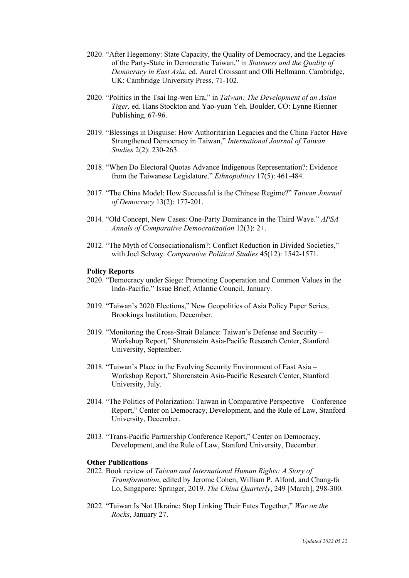- 2020. "After Hegemony: State Capacity, the Quality of Democracy, and the Legacies of the Party-State in Democratic Taiwan," in *Stateness and the Quality of Democracy in East Asia*, ed. Aurel Croissant and Olli Hellmann. Cambridge, UK: Cambridge University Press, 71-102.
- 2020. "Politics in the Tsai Ing-wen Era," in *Taiwan: The Development of an Asian Tiger,* ed. Hans Stockton and Yao-yuan Yeh. Boulder, CO: Lynne Rienner Publishing, 67-96.
- 2019. "Blessings in Disguise: How Authoritarian Legacies and the China Factor Have Strengthened Democracy in Taiwan," *International Journal of Taiwan Studies* 2(2): 230-263.
- 2018. "When Do Electoral Quotas Advance Indigenous Representation?: Evidence from the Taiwanese Legislature." *Ethnopolitics* 17(5): 461-484.
- 2017. "The China Model: How Successful is the Chinese Regime?" *Taiwan Journal of Democracy* 13(2): 177-201.
- 2014. "Old Concept, New Cases: One-Party Dominance in the Third Wave." *APSA Annals of Comparative Democratization* 12(3): 2+.
- 2012. "The Myth of Consociationalism?: Conflict Reduction in Divided Societies," with Joel Selway. *Comparative Political Studies* 45(12): 1542-1571.

#### **Policy Reports**

- 2020. "Democracy under Siege: Promoting Cooperation and Common Values in the Indo-Pacific," Issue Brief, Atlantic Council, January.
- 2019. "Taiwan's 2020 Elections," New Geopolitics of Asia Policy Paper Series, Brookings Institution, December.
- 2019. "Monitoring the Cross-Strait Balance: Taiwan's Defense and Security Workshop Report," Shorenstein Asia-Pacific Research Center, Stanford University, September.
- 2018. "Taiwan's Place in the Evolving Security Environment of East Asia Workshop Report," Shorenstein Asia-Pacific Research Center, Stanford University, July.
- 2014. "The Politics of Polarization: Taiwan in Comparative Perspective Conference Report," Center on Democracy, Development, and the Rule of Law, Stanford University, December.
- 2013. "Trans-Pacific Partnership Conference Report," Center on Democracy, Development, and the Rule of Law, Stanford University, December.

#### **Other Publications**

- 2022. Book review of *Taiwan and International Human Rights: A Story of Transformation*, edited by Jerome Cohen, William P. Alford, and Chang-fa Lo, Singapore: Springer, 2019. *The China Quarterly*, 249 [March], 298-300.
- 2022. "Taiwan Is Not Ukraine: Stop Linking Their Fates Together," *War on the Rocks*, January 27.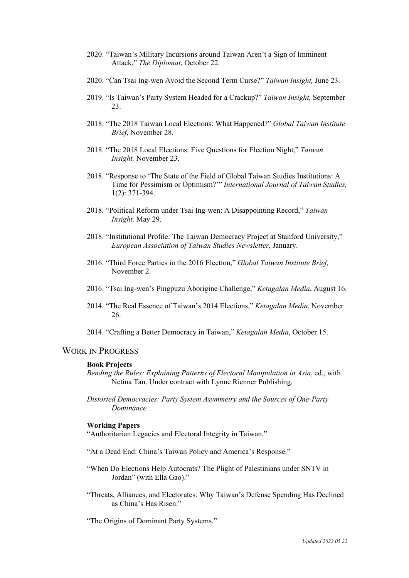- 2020. "Taiwan's Military Incursions around Taiwan Aren't a Sign of Imminent Attack," *The Diplomat*, October 22.
- 2020. "Can Tsai Ing-wen Avoid the Second Term Curse?" *Taiwan Insight,* June 23.
- 2019. "Is Taiwan's Party System Headed for a Crackup?" *Taiwan Insight,* September 23.
- 2018. "The 2018 Taiwan Local Elections: What Happened?" *Global Taiwan Institute Brief*, November 28.
- 2018. "The 2018 Local Elections: Five Questions for Election Night," *Taiwan Insight,* November 23.
- 2018. "Response to 'The State of the Field of Global Taiwan Studies Institutions: A Time for Pessimism or Optimism?'" *International Journal of Taiwan Studies,*  1(2): 371-394.
- 2018. "Political Reform under Tsai Ing-wen: A Disappointing Record," *Taiwan Insight,* May 29.
- 2018. "Institutional Profile: The Taiwan Democracy Project at Stanford University," *European Association of Taiwan Studies Newsletter*, January.
- 2016. "Third Force Parties in the 2016 Election," *Global Taiwan Institute Brief,*  November 2.
- 2016. "Tsai Ing-wen's Pingpuzu Aborigine Challenge," *Ketagalan Media*, August 16.
- 2014. "The Real Essence of Taiwan's 2014 Elections," *Ketagalan Media*, November 26.
- 2014. "Crafting a Better Democracy in Taiwan," *Ketagalan Media*, October 15.

# WORK IN PROGRESS

#### **Book Projects**

- *Bending the Rules: Explaining Patterns of Electoral Manipulation in Asia*, ed., with Netina Tan. Under contract with Lynne Rienner Publishing.
- *Distorted Democracies: Party System Asymmetry and the Sources of One-Party Dominance.*

#### **Working Papers**

"Authoritarian Legacies and Electoral Integrity in Taiwan."

- "At a Dead End: China's Taiwan Policy and America's Response."
- "When Do Elections Help Autocrats? The Plight of Palestinians under SNTV in Jordan" (with Ella Gao)."
- "Threats, Alliances, and Electorates: Why Taiwan's Defense Spending Has Declined as China's Has Risen."

"The Origins of Dominant Party Systems."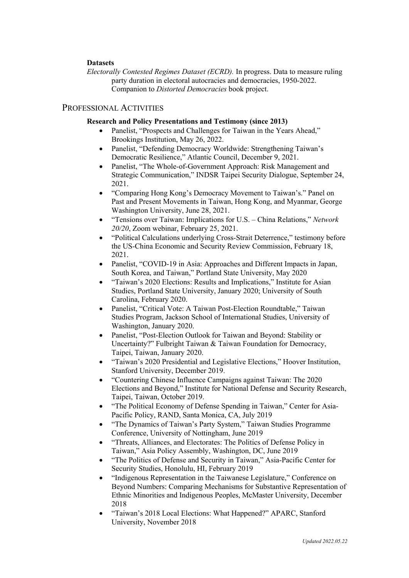#### **Datasets**

*Electorally Contested Regimes Dataset (ECRD).* In progress. Data to measure ruling party duration in electoral autocracies and democracies, 1950-2022. Companion to *Distorted Democracies* book project.

### PROFESSIONAL ACTIVITIES

#### **Research and Policy Presentations and Testimony (since 2013)**

- Panelist, "Prospects and Challenges for Taiwan in the Years Ahead," Brookings Institution, May 26, 2022.
- Panelist, "Defending Democracy Worldwide: Strengthening Taiwan's Democratic Resilience," Atlantic Council, December 9, 2021.
- Panelist, "The Whole-of-Government Approach: Risk Management and Strategic Communication," INDSR Taipei Security Dialogue, September 24, 2021.
- "Comparing Hong Kong's Democracy Movement to Taiwan's." Panel on Past and Present Movements in Taiwan, Hong Kong, and Myanmar, George Washington University, June 28, 2021.
- "Tensions over Taiwan: Implications for U.S. China Relations," *Network 20/20*, Zoom webinar, February 25, 2021.
- "Political Calculations underlying Cross-Strait Deterrence," testimony before the US-China Economic and Security Review Commission, February 18, 2021.
- Panelist, "COVID-19 in Asia: Approaches and Different Impacts in Japan, South Korea, and Taiwan," Portland State University, May 2020
- "Taiwan's 2020 Elections: Results and Implications," Institute for Asian Studies, Portland State University, January 2020; University of South Carolina, February 2020.
- Panelist, "Critical Vote: A Taiwan Post-Election Roundtable," Taiwan Studies Program, Jackson School of International Studies, University of Washington, January 2020.
- Panelist, "Post-Election Outlook for Taiwan and Beyond: Stability or Uncertainty?" Fulbright Taiwan & Taiwan Foundation for Democracy, Taipei, Taiwan, January 2020.
- "Taiwan's 2020 Presidential and Legislative Elections," Hoover Institution, Stanford University, December 2019.
- "Countering Chinese Influence Campaigns against Taiwan: The 2020 Elections and Beyond," Institute for National Defense and Security Research, Taipei, Taiwan, October 2019.
- "The Political Economy of Defense Spending in Taiwan," Center for Asia-Pacific Policy, RAND, Santa Monica, CA, July 2019
- "The Dynamics of Taiwan's Party System," Taiwan Studies Programme Conference, University of Nottingham, June 2019
- "Threats, Alliances, and Electorates: The Politics of Defense Policy in Taiwan," Asia Policy Assembly, Washington, DC, June 2019
- "The Politics of Defense and Security in Taiwan," Asia-Pacific Center for Security Studies, Honolulu, HI, February 2019
- "Indigenous Representation in the Taiwanese Legislature," Conference on Beyond Numbers: Comparing Mechanisms for Substantive Representation of Ethnic Minorities and Indigenous Peoples, McMaster University, December 2018
- "Taiwan's 2018 Local Elections: What Happened?" APARC, Stanford University, November 2018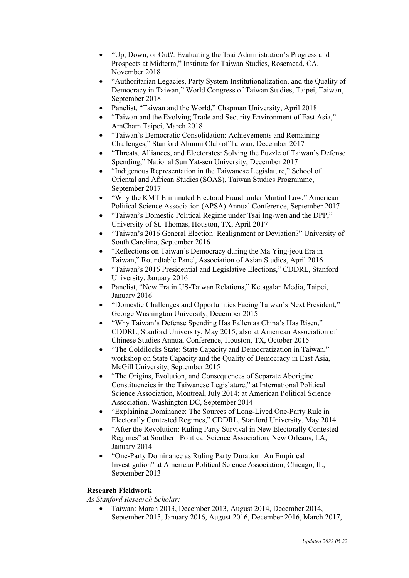- "Up, Down, or Out?: Evaluating the Tsai Administration's Progress and Prospects at Midterm," Institute for Taiwan Studies, Rosemead, CA, November 2018
- "Authoritarian Legacies, Party System Institutionalization, and the Quality of Democracy in Taiwan," World Congress of Taiwan Studies, Taipei, Taiwan, September 2018
- Panelist, "Taiwan and the World," Chapman University, April 2018
- "Taiwan and the Evolving Trade and Security Environment of East Asia," AmCham Taipei, March 2018
- "Taiwan's Democratic Consolidation: Achievements and Remaining Challenges," Stanford Alumni Club of Taiwan, December 2017
- "Threats, Alliances, and Electorates: Solving the Puzzle of Taiwan's Defense Spending," National Sun Yat-sen University, December 2017
- "Indigenous Representation in the Taiwanese Legislature," School of Oriental and African Studies (SOAS), Taiwan Studies Programme, September 2017
- "Why the KMT Eliminated Electoral Fraud under Martial Law," American Political Science Association (APSA) Annual Conference, September 2017
- "Taiwan's Domestic Political Regime under Tsai Ing-wen and the DPP," University of St. Thomas, Houston, TX, April 2017
- "Taiwan's 2016 General Election: Realignment or Deviation?" University of South Carolina, September 2016
- "Reflections on Taiwan's Democracy during the Ma Ying-jeou Era in Taiwan," Roundtable Panel, Association of Asian Studies, April 2016
- "Taiwan's 2016 Presidential and Legislative Elections," CDDRL, Stanford University, January 2016
- Panelist, "New Era in US-Taiwan Relations," Ketagalan Media, Taipei, January 2016
- "Domestic Challenges and Opportunities Facing Taiwan's Next President," George Washington University, December 2015
- "Why Taiwan's Defense Spending Has Fallen as China's Has Risen," CDDRL, Stanford University, May 2015; also at American Association of Chinese Studies Annual Conference, Houston, TX, October 2015
- "The Goldilocks State: State Capacity and Democratization in Taiwan," workshop on State Capacity and the Quality of Democracy in East Asia, McGill University, September 2015
- "The Origins, Evolution, and Consequences of Separate Aborigine Constituencies in the Taiwanese Legislature," at International Political Science Association, Montreal, July 2014; at American Political Science Association, Washington DC, September 2014
- "Explaining Dominance: The Sources of Long-Lived One-Party Rule in Electorally Contested Regimes," CDDRL, Stanford University, May 2014
- "After the Revolution: Ruling Party Survival in New Electorally Contested Regimes" at Southern Political Science Association, New Orleans, LA, January 2014
- "One-Party Dominance as Ruling Party Duration: An Empirical Investigation" at American Political Science Association, Chicago, IL, September 2013

## **Research Fieldwork**

*As Stanford Research Scholar:*

• Taiwan: March 2013, December 2013, August 2014, December 2014, September 2015, January 2016, August 2016, December 2016, March 2017,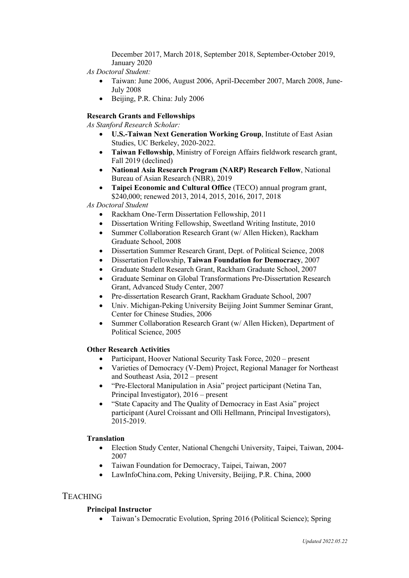December 2017, March 2018, September 2018, September-October 2019, January 2020

*As Doctoral Student:*

- Taiwan: June 2006, August 2006, April-December 2007, March 2008, June-July 2008
- Beijing, P.R. China: July 2006

## **Research Grants and Fellowships**

*As Stanford Research Scholar:*

- **U.S.-Taiwan Next Generation Working Group**, Institute of East Asian Studies, UC Berkeley, 2020-2022.
- **Taiwan Fellowship**, Ministry of Foreign Affairs fieldwork research grant, Fall 2019 (declined)
- **National Asia Research Program (NARP) Research Fellow**, National Bureau of Asian Research (NBR), 2019
- **Taipei Economic and Cultural Office** (TECO) annual program grant, \$240,000; renewed 2013, 2014, 2015, 2016, 2017, 2018

*As Doctoral Student*

- Rackham One-Term Dissertation Fellowship, 2011
- Dissertation Writing Fellowship, Sweetland Writing Institute, 2010
- Summer Collaboration Research Grant (w/ Allen Hicken), Rackham Graduate School, 2008
- Dissertation Summer Research Grant, Dept. of Political Science, 2008
- Dissertation Fellowship, **Taiwan Foundation for Democracy**, 2007
- Graduate Student Research Grant, Rackham Graduate School, 2007
- Graduate Seminar on Global Transformations Pre-Dissertation Research Grant, Advanced Study Center, 2007
- Pre-dissertation Research Grant, Rackham Graduate School, 2007
- Univ. Michigan-Peking University Beijing Joint Summer Seminar Grant, Center for Chinese Studies, 2006
- Summer Collaboration Research Grant (w/ Allen Hicken), Department of Political Science, 2005

## **Other Research Activities**

- Participant, Hoover National Security Task Force, 2020 present
- Varieties of Democracy (V-Dem) Project, Regional Manager for Northeast and Southeast Asia, 2012 – present
- "Pre-Electoral Manipulation in Asia" project participant (Netina Tan, Principal Investigator), 2016 – present
- "State Capacity and The Quality of Democracy in East Asia" project participant (Aurel Croissant and Olli Hellmann, Principal Investigators), 2015-2019.

## **Translation**

- Election Study Center, National Chengchi University, Taipei, Taiwan, 2004- 2007
- Taiwan Foundation for Democracy, Taipei, Taiwan, 2007
- LawInfoChina.com, Peking University, Beijing, P.R. China, 2000

# TEACHING

## **Principal Instructor**

• Taiwan's Democratic Evolution, Spring 2016 (Political Science); Spring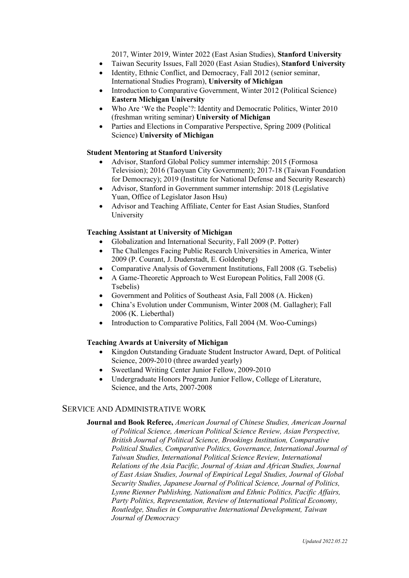2017, Winter 2019, Winter 2022 (East Asian Studies), **Stanford University**

- Taiwan Security Issues, Fall 2020 (East Asian Studies), **Stanford University**
- Identity, Ethnic Conflict, and Democracy, Fall 2012 (senior seminar, International Studies Program), **University of Michigan**
- Introduction to Comparative Government, Winter 2012 (Political Science) **Eastern Michigan University**
- Who Are 'We the People'?: Identity and Democratic Politics, Winter 2010 (freshman writing seminar) **University of Michigan**
- Parties and Elections in Comparative Perspective, Spring 2009 (Political Science) **University of Michigan**

## **Student Mentoring at Stanford University**

- Advisor, Stanford Global Policy summer internship: 2015 (Formosa Television); 2016 (Taoyuan City Government); 2017-18 (Taiwan Foundation for Democracy); 2019 (Institute for National Defense and Security Research)
- Advisor, Stanford in Government summer internship: 2018 (Legislative Yuan, Office of Legislator Jason Hsu)
- Advisor and Teaching Affiliate, Center for East Asian Studies, Stanford University

### **Teaching Assistant at University of Michigan**

- Globalization and International Security, Fall 2009 (P. Potter)
- The Challenges Facing Public Research Universities in America, Winter 2009 (P. Courant, J. Duderstadt, E. Goldenberg)
- Comparative Analysis of Government Institutions, Fall 2008 (G. Tsebelis)
- A Game-Theoretic Approach to West European Politics, Fall 2008 (G. Tsebelis)
- Government and Politics of Southeast Asia, Fall 2008 (A. Hicken)
- China's Evolution under Communism, Winter 2008 (M. Gallagher); Fall 2006 (K. Lieberthal)
- Introduction to Comparative Politics, Fall 2004 (M. Woo-Cumings)

#### **Teaching Awards at University of Michigan**

- Kingdon Outstanding Graduate Student Instructor Award, Dept. of Political Science, 2009-2010 (three awarded yearly)
- Sweetland Writing Center Junior Fellow, 2009-2010
- Undergraduate Honors Program Junior Fellow, College of Literature, Science, and the Arts, 2007-2008

## SERVICE AND ADMINISTRATIVE WORK

**Journal and Book Referee,** *American Journal of Chinese Studies, American Journal of Political Science, American Political Science Review, Asian Perspective, British Journal of Political Science, Brookings Institution, Comparative Political Studies, Comparative Politics, Governance, International Journal of Taiwan Studies, International Political Science Review, International Relations of the Asia Pacific, Journal of Asian and African Studies, Journal of East Asian Studies, Journal of Empirical Legal Studies, Journal of Global Security Studies, Japanese Journal of Political Science, Journal of Politics, Lynne Rienner Publishing, Nationalism and Ethnic Politics, Pacific Affairs, Party Politics, Representation, Review of International Political Economy, Routledge, Studies in Comparative International Development, Taiwan Journal of Democracy*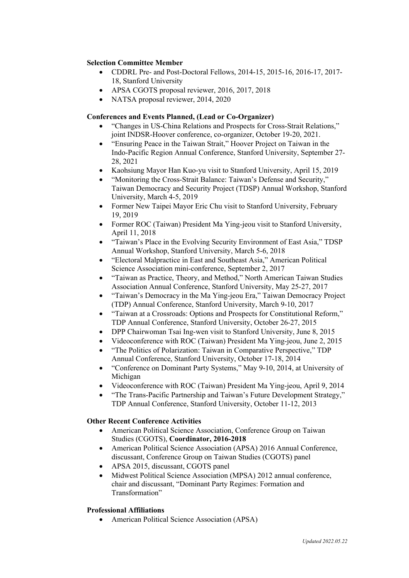#### **Selection Committee Member**

- CDDRL Pre- and Post-Doctoral Fellows, 2014-15, 2015-16, 2016-17, 2017- 18, Stanford University
- APSA CGOTS proposal reviewer, 2016, 2017, 2018
- NATSA proposal reviewer, 2014, 2020

## **Conferences and Events Planned, (Lead or Co-Organizer)**

- "Changes in US-China Relations and Prospects for Cross-Strait Relations," joint INDSR-Hoover conference, co-organizer, October 19-20, 2021.
- "Ensuring Peace in the Taiwan Strait," Hoover Project on Taiwan in the Indo-Pacific Region Annual Conference, Stanford University, September 27- 28, 2021
- Kaohsiung Mayor Han Kuo-yu visit to Stanford University, April 15, 2019
- "Monitoring the Cross-Strait Balance: Taiwan's Defense and Security," Taiwan Democracy and Security Project (TDSP) Annual Workshop, Stanford University, March 4-5, 2019
- Former New Taipei Mayor Eric Chu visit to Stanford University, February 19, 2019
- Former ROC (Taiwan) President Ma Ying-jeou visit to Stanford University, April 11, 2018
- "Taiwan's Place in the Evolving Security Environment of East Asia," TDSP Annual Workshop, Stanford University, March 5-6, 2018
- "Electoral Malpractice in East and Southeast Asia," American Political Science Association mini-conference, September 2, 2017
- "Taiwan as Practice, Theory, and Method," North American Taiwan Studies Association Annual Conference, Stanford University, May 25-27, 2017
- "Taiwan's Democracy in the Ma Ying-jeou Era," Taiwan Democracy Project (TDP) Annual Conference, Stanford University, March 9-10, 2017
- "Taiwan at a Crossroads: Options and Prospects for Constitutional Reform," TDP Annual Conference, Stanford University, October 26-27, 2015
- DPP Chairwoman Tsai Ing-wen visit to Stanford University, June 8, 2015
- Videoconference with ROC (Taiwan) President Ma Ying-jeou, June 2, 2015
- "The Politics of Polarization: Taiwan in Comparative Perspective," TDP Annual Conference, Stanford University, October 17-18, 2014
- "Conference on Dominant Party Systems," May 9-10, 2014, at University of Michigan
- Videoconference with ROC (Taiwan) President Ma Ying-jeou, April 9, 2014
- "The Trans-Pacific Partnership and Taiwan's Future Development Strategy," TDP Annual Conference, Stanford University, October 11-12, 2013

### **Other Recent Conference Activities**

- American Political Science Association, Conference Group on Taiwan Studies (CGOTS), **Coordinator, 2016-2018**
- American Political Science Association (APSA) 2016 Annual Conference, discussant, Conference Group on Taiwan Studies (CGOTS) panel
- APSA 2015, discussant, CGOTS panel
- Midwest Political Science Association (MPSA) 2012 annual conference, chair and discussant, "Dominant Party Regimes: Formation and Transformation"

## **Professional Affiliations**

• American Political Science Association (APSA)